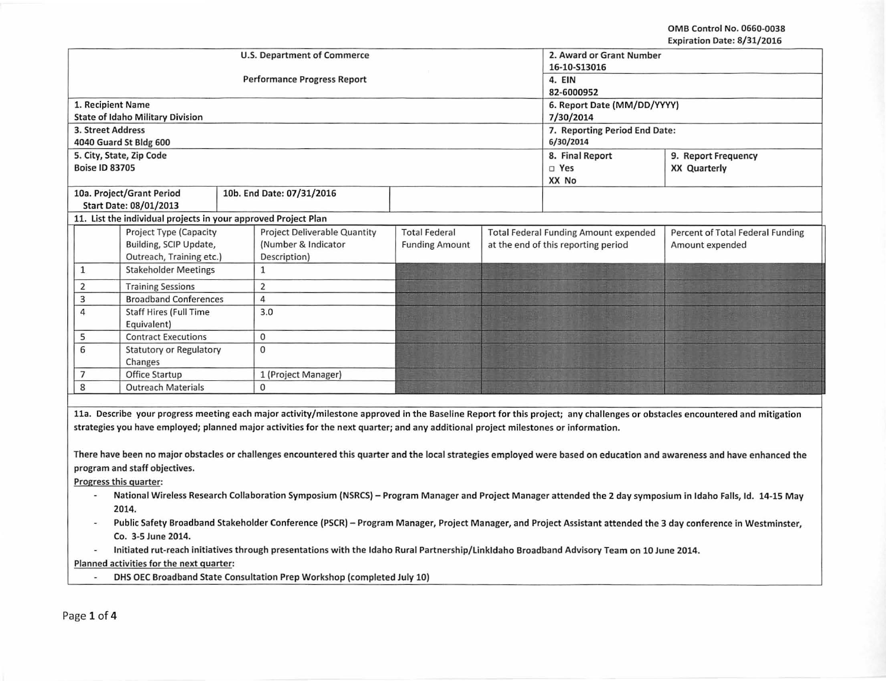OMB Control No. 0660-0038 Expiration Date: 8/31/2016

|                                                                                                                                                             |                                                                |  |                                                                                                                                    |                               |                 |                                              | EXPII GLIOII DALE, OJ 31/2010                                                                                                                                              |  |
|-------------------------------------------------------------------------------------------------------------------------------------------------------------|----------------------------------------------------------------|--|------------------------------------------------------------------------------------------------------------------------------------|-------------------------------|-----------------|----------------------------------------------|----------------------------------------------------------------------------------------------------------------------------------------------------------------------------|--|
|                                                                                                                                                             |                                                                |  | <b>U.S. Department of Commerce</b>                                                                                                 | 2. Award or Grant Number      |                 |                                              |                                                                                                                                                                            |  |
|                                                                                                                                                             |                                                                |  |                                                                                                                                    | 16-10-S13016                  |                 |                                              |                                                                                                                                                                            |  |
|                                                                                                                                                             |                                                                |  | <b>Performance Progress Report</b>                                                                                                 | 4. EIN                        |                 |                                              |                                                                                                                                                                            |  |
|                                                                                                                                                             |                                                                |  |                                                                                                                                    | 82-6000952                    |                 |                                              |                                                                                                                                                                            |  |
| 1. Recipient Name                                                                                                                                           |                                                                |  |                                                                                                                                    | 6. Report Date (MM/DD/YYYY)   |                 |                                              |                                                                                                                                                                            |  |
|                                                                                                                                                             | <b>State of Idaho Military Division</b>                        |  |                                                                                                                                    | 7/30/2014                     |                 |                                              |                                                                                                                                                                            |  |
| 3. Street Address                                                                                                                                           |                                                                |  |                                                                                                                                    | 7. Reporting Period End Date: |                 |                                              |                                                                                                                                                                            |  |
|                                                                                                                                                             | 4040 Guard St Bldg 600                                         |  |                                                                                                                                    | 6/30/2014                     |                 |                                              |                                                                                                                                                                            |  |
|                                                                                                                                                             | 5. City, State, Zip Code                                       |  |                                                                                                                                    |                               | 8. Final Report | 9. Report Frequency                          |                                                                                                                                                                            |  |
| <b>Boise ID 83705</b>                                                                                                                                       |                                                                |  |                                                                                                                                    |                               | □ Yes           | <b>XX Quarterly</b>                          |                                                                                                                                                                            |  |
|                                                                                                                                                             |                                                                |  |                                                                                                                                    |                               |                 | XX No                                        |                                                                                                                                                                            |  |
|                                                                                                                                                             | 10a. Project/Grant Period                                      |  | 10b. End Date: 07/31/2016                                                                                                          |                               |                 |                                              |                                                                                                                                                                            |  |
|                                                                                                                                                             | <b>Start Date: 08/01/2013</b>                                  |  |                                                                                                                                    |                               |                 |                                              |                                                                                                                                                                            |  |
|                                                                                                                                                             | 11. List the individual projects in your approved Project Plan |  |                                                                                                                                    |                               |                 |                                              |                                                                                                                                                                            |  |
|                                                                                                                                                             | Project Type (Capacity                                         |  | Project Deliverable Quantity                                                                                                       | <b>Total Federal</b>          |                 | <b>Total Federal Funding Amount expended</b> | Percent of Total Federal Funding                                                                                                                                           |  |
|                                                                                                                                                             | Building, SCIP Update,                                         |  | (Number & Indicator                                                                                                                | <b>Funding Amount</b>         |                 | at the end of this reporting period          | Amount expended                                                                                                                                                            |  |
|                                                                                                                                                             | Outreach, Training etc.)                                       |  | Description)                                                                                                                       |                               |                 |                                              |                                                                                                                                                                            |  |
| $\mathbf{1}$                                                                                                                                                | <b>Stakeholder Meetings</b>                                    |  | $\mathbf{1}$                                                                                                                       |                               |                 |                                              |                                                                                                                                                                            |  |
| $\mathbf 2$                                                                                                                                                 | <b>Training Sessions</b>                                       |  | $\overline{2}$                                                                                                                     |                               |                 |                                              |                                                                                                                                                                            |  |
| $\mathsf 3$                                                                                                                                                 | <b>Broadband Conferences</b>                                   |  | $\overline{4}$                                                                                                                     |                               |                 |                                              |                                                                                                                                                                            |  |
| $\overline{4}$                                                                                                                                              | <b>Staff Hires (Full Time</b>                                  |  | 3.0                                                                                                                                |                               |                 |                                              |                                                                                                                                                                            |  |
|                                                                                                                                                             | Equivalent)                                                    |  |                                                                                                                                    |                               |                 |                                              |                                                                                                                                                                            |  |
| 5                                                                                                                                                           | <b>Contract Executions</b>                                     |  | 0                                                                                                                                  |                               |                 |                                              |                                                                                                                                                                            |  |
| 6                                                                                                                                                           | <b>Statutory or Regulatory</b>                                 |  | $\Omega$                                                                                                                           |                               |                 |                                              |                                                                                                                                                                            |  |
| $\overline{7}$                                                                                                                                              | Changes                                                        |  |                                                                                                                                    |                               |                 |                                              |                                                                                                                                                                            |  |
| 8                                                                                                                                                           | Office Startup                                                 |  | 1 (Project Manager)<br>$\Omega$                                                                                                    |                               |                 |                                              |                                                                                                                                                                            |  |
|                                                                                                                                                             | <b>Outreach Materials</b>                                      |  |                                                                                                                                    |                               |                 |                                              |                                                                                                                                                                            |  |
|                                                                                                                                                             |                                                                |  |                                                                                                                                    |                               |                 |                                              |                                                                                                                                                                            |  |
|                                                                                                                                                             |                                                                |  |                                                                                                                                    |                               |                 |                                              | 11a. Describe your progress meeting each major activity/milestone approved in the Baseline Report for this project; any challenges or obstacles encountered and mitigation |  |
|                                                                                                                                                             |                                                                |  | strategies you have employed; planned major activities for the next quarter; and any additional project milestones or information. |                               |                 |                                              |                                                                                                                                                                            |  |
|                                                                                                                                                             |                                                                |  |                                                                                                                                    |                               |                 |                                              |                                                                                                                                                                            |  |
|                                                                                                                                                             |                                                                |  |                                                                                                                                    |                               |                 |                                              | There have been no major obstacles or challenges encountered this quarter and the local strategies employed were based on education and awareness and have enhanced the    |  |
|                                                                                                                                                             | program and staff objectives.                                  |  |                                                                                                                                    |                               |                 |                                              |                                                                                                                                                                            |  |
| Progress this quarter:                                                                                                                                      |                                                                |  |                                                                                                                                    |                               |                 |                                              |                                                                                                                                                                            |  |
| National Wireless Research Collaboration Symposium (NSRCS) - Program Manager and Project Manager attended the 2 day symposium in Idaho Falls, Id. 14-15 May |                                                                |  |                                                                                                                                    |                               |                 |                                              |                                                                                                                                                                            |  |
| 2014.                                                                                                                                                       |                                                                |  |                                                                                                                                    |                               |                 |                                              |                                                                                                                                                                            |  |
|                                                                                                                                                             |                                                                |  |                                                                                                                                    |                               |                 |                                              | Public Safety Broadband Stakeholder Conference (PSCR) - Program Manager, Project Manager, and Project Assistant attended the 3 day conference in Westminster,              |  |
|                                                                                                                                                             |                                                                |  |                                                                                                                                    |                               |                 |                                              |                                                                                                                                                                            |  |
| Co. 3-5 June 2014.                                                                                                                                          |                                                                |  |                                                                                                                                    |                               |                 |                                              |                                                                                                                                                                            |  |
| Initiated rut-reach initiatives through presentations with the Idaho Rural Partnership/LinkIdaho Broadband Advisory Team on 10 June 2014.                   |                                                                |  |                                                                                                                                    |                               |                 |                                              |                                                                                                                                                                            |  |
| Planned activities for the next quarter:                                                                                                                    |                                                                |  |                                                                                                                                    |                               |                 |                                              |                                                                                                                                                                            |  |
|                                                                                                                                                             |                                                                |  | DHS OEC Broadband State Consultation Prep Workshop (completed July 10)                                                             |                               |                 |                                              |                                                                                                                                                                            |  |
|                                                                                                                                                             |                                                                |  |                                                                                                                                    |                               |                 |                                              |                                                                                                                                                                            |  |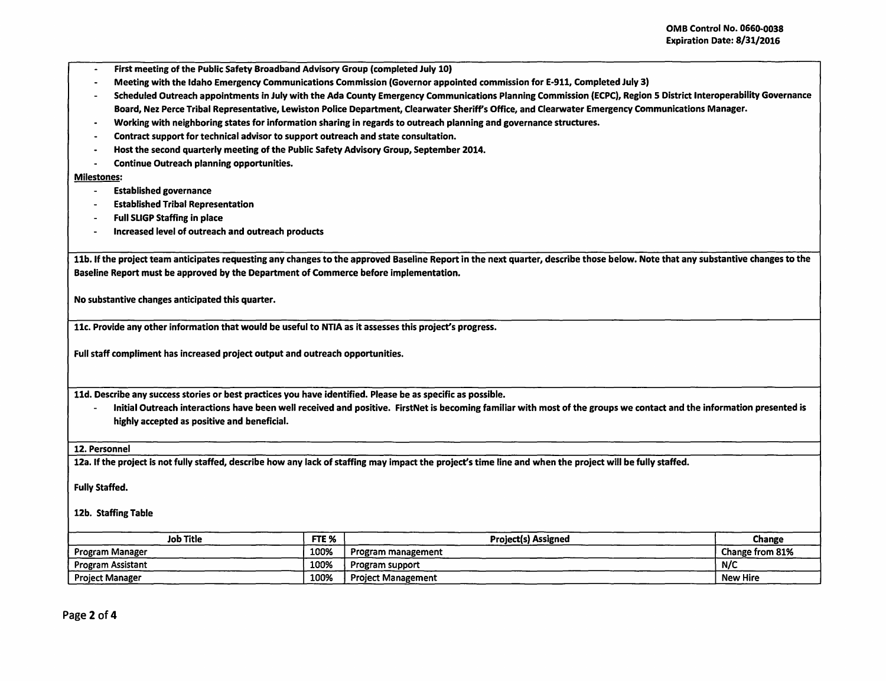- -
- First meeting of the Public Safety Broadband Advisory Group (completed July 10) Meeting with the Idaho Emergency Communications Commission (Governor appointed commission for E-911, Completed July 3)
- Scheduled Outreach appointments in July with the Ada County Emergency Communications Planning Commission (ECPC), Region 5 District lnteroperability Governance Board, Nez Perce Tribal Representative, Lewiston Police Department, Clearwater Sheriffs Office, and Clearwater Emergency Communications Manager.
- Working with neighboring states for information sharing in regards to outreach planning and governance structures.
- Contract support for technical advisor to support outreach and state consultation.
- Host the second quarterly meeting of the Public Safety Advisory Group, September 2014.<br>Continue Outreach planning opportunities
- Continue Outreach planning opportunities.

## Milestones:

- Established governance
- Established Tribal Representation
- Full SLIGP Staffing in place
- Increased level of outreach and outreach products

11b. If the project team anticipates requesting any changes to the approved Baseline Report in the next quarter, describe those below. Note that any substantive changes to the Baseline Report must be approved by the Department of Commerce before implementation.

No substantive changes anticipated this quarter.

11c. Provide any other information that would be useful to NTIA as it assesses this project's progress.

Full staff compliment has increased project output and outreach opportunities.

11d. Describe any success stories or best practices you have identified. Please be as specific as possible.

- Initial Outreach interactions have been well received and positive. FirstNet is becoming familiar with most of the groups we contact and the information presented is highly accepted as positive and beneficial.

12. Personnel

12a. If the project is not fully staffed, describe how any lack of staffing may impact the project's time line and when the project will be fully staffed.

Fully Staffed.

12b. Staffing Table

| <b>Job Title</b>       | FTE <sub>%</sub> | <b>Project(s) Assigned</b> | Change          |
|------------------------|------------------|----------------------------|-----------------|
| Program Manager        | 100%             | Program management         | Change from 81% |
| Program Assistant      | 100%             | Program support            | N/C             |
| <b>Project Manager</b> | 100%             | <b>Project Management</b>  | <b>New Hire</b> |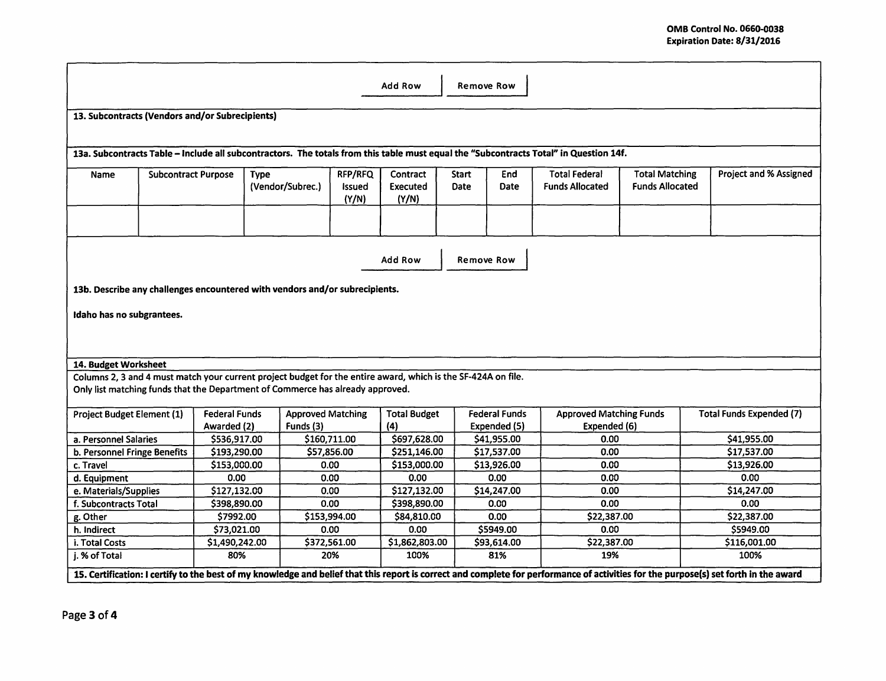| <b>Add Row</b><br><b>Remove Row</b>                                                                                                                                                             |                            |                                                 |                                       |                            |                                      |                             |                                      |                                                |                                                 |                                 |
|-------------------------------------------------------------------------------------------------------------------------------------------------------------------------------------------------|----------------------------|-------------------------------------------------|---------------------------------------|----------------------------|--------------------------------------|-----------------------------|--------------------------------------|------------------------------------------------|-------------------------------------------------|---------------------------------|
|                                                                                                                                                                                                 |                            | 13. Subcontracts (Vendors and/or Subrecipients) |                                       |                            |                                      |                             |                                      |                                                |                                                 |                                 |
|                                                                                                                                                                                                 |                            |                                                 |                                       |                            |                                      |                             |                                      |                                                |                                                 |                                 |
| 13a. Subcontracts Table - Include all subcontractors. The totals from this table must equal the "Subcontracts Total" in Question 14f.                                                           |                            |                                                 |                                       |                            |                                      |                             |                                      |                                                |                                                 |                                 |
| Name                                                                                                                                                                                            | <b>Subcontract Purpose</b> | <b>Type</b>                                     | (Vendor/Subrec.)                      | RFP/RFQ<br>Issued<br>(Y/N) | Contract<br><b>Executed</b><br>(Y/N) | <b>Start</b><br><b>Date</b> | End<br><b>Date</b>                   | <b>Total Federal</b><br><b>Funds Allocated</b> | <b>Total Matching</b><br><b>Funds Allocated</b> | <b>Project and % Assigned</b>   |
|                                                                                                                                                                                                 |                            |                                                 |                                       |                            |                                      |                             |                                      |                                                |                                                 |                                 |
| Add Row<br><b>Remove Row</b>                                                                                                                                                                    |                            |                                                 |                                       |                            |                                      |                             |                                      |                                                |                                                 |                                 |
| 13b. Describe any challenges encountered with vendors and/or subrecipients.                                                                                                                     |                            |                                                 |                                       |                            |                                      |                             |                                      |                                                |                                                 |                                 |
| Idaho has no subgrantees.                                                                                                                                                                       |                            |                                                 |                                       |                            |                                      |                             |                                      |                                                |                                                 |                                 |
| 14. Budget Worksheet                                                                                                                                                                            |                            |                                                 |                                       |                            |                                      |                             |                                      |                                                |                                                 |                                 |
|                                                                                                                                                                                                 |                            |                                                 |                                       |                            |                                      |                             |                                      |                                                |                                                 |                                 |
| Columns 2, 3 and 4 must match your current project budget for the entire award, which is the SF-424A on file.<br>Only list matching funds that the Department of Commerce has already approved. |                            |                                                 |                                       |                            |                                      |                             |                                      |                                                |                                                 |                                 |
| Project Budget Element (1)                                                                                                                                                                      |                            | <b>Federal Funds</b><br>Awarded (2)             | <b>Approved Matching</b><br>Funds (3) |                            | <b>Total Budget</b><br>(4)           |                             | <b>Federal Funds</b><br>Expended (5) | <b>Approved Matching Funds</b><br>Expended (6) |                                                 | <b>Total Funds Expended (7)</b> |
| a. Personnel Salaries                                                                                                                                                                           |                            | \$536,917.00                                    |                                       | \$160,711.00               | \$697,628.00                         |                             | \$41,955.00                          | 0.00                                           |                                                 | \$41,955.00                     |
| b. Personnel Fringe Benefits                                                                                                                                                                    |                            | \$193,290.00                                    |                                       | \$57,856.00                | \$251,146.00                         |                             | \$17,537.00                          | 0.00                                           |                                                 | \$17,537.00                     |
| c. Travel                                                                                                                                                                                       |                            | \$153,000.00                                    |                                       | 0.00                       | \$153,000.00                         |                             | \$13,926.00                          | 0.00                                           |                                                 | \$13,926.00                     |
| d. Equipment                                                                                                                                                                                    |                            | 0.00                                            |                                       | 0.00                       | 0.00                                 |                             | 0.00                                 | 0.00                                           |                                                 | 0.00                            |
| e. Materials/Supplies                                                                                                                                                                           |                            | \$127,132.00                                    |                                       | 0.00                       | \$127,132.00                         |                             | \$14,247.00                          | 0.00                                           |                                                 | \$14,247.00                     |
| f. Subcontracts Total                                                                                                                                                                           |                            | \$398,890.00                                    |                                       | 0.00                       | \$398,890.00                         |                             | 0.00                                 | 0.00                                           |                                                 | 0.00                            |
| g. Other                                                                                                                                                                                        |                            | \$7992.00                                       |                                       | \$153,994.00               | \$84,810.00                          |                             | 0.00                                 | \$22,387.00                                    |                                                 | \$22,387.00                     |
| h. Indirect                                                                                                                                                                                     |                            | \$73,021.00                                     |                                       | 0.00                       | 0.00                                 |                             | \$5949.00                            | 0.00                                           |                                                 | \$5949.00                       |
| i. Total Costs                                                                                                                                                                                  |                            | \$1,490,242.00                                  |                                       | \$372,561.00               | \$1,862,803.00                       |                             | \$93,614.00                          | \$22,387.00                                    |                                                 | \$116,001.00                    |
| j. % of Total                                                                                                                                                                                   |                            | 80%                                             |                                       | 20%                        | 100%                                 |                             | 81%                                  | 19%                                            |                                                 | 100%                            |
| 15. Certification: I certify to the best of my knowledge and belief that this report is correct and complete for performance of activities for the purpose(s) set forth in the award            |                            |                                                 |                                       |                            |                                      |                             |                                      |                                                |                                                 |                                 |